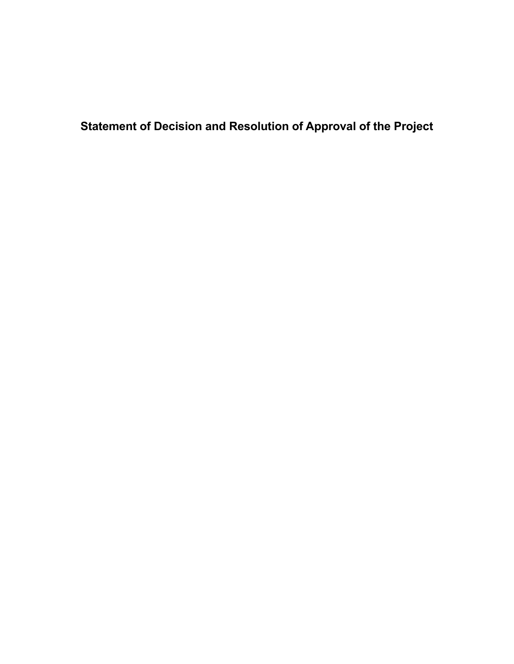**Statement of Decision and Resolution of Approval of the Project**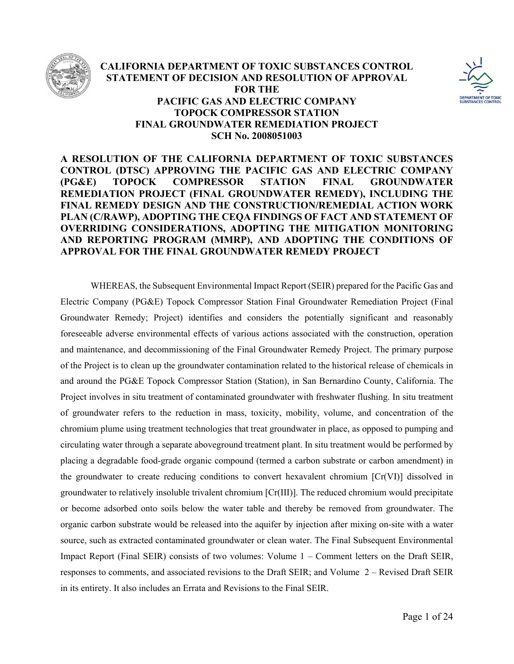

## **CALIFORNIA DEPARTMENT OF TOXIC SUBSTANCES CONTROL STATEMENT OF DECISION AND RESOLUTION OF APPROVAL FOR THE PACIFIC GAS AND ELECTRIC COMPANY TOPOCK COMPRESSOR STATION FINAL GROUNDWATER REMEDIATION PROJECT SCH No. 2008051003**



# **A RESOLUTION OF THE CALIFORNIA DEPARTMENT OF TOXIC SUBSTANCES CONTROL (DTSC) APPROVING THE PACIFIC GAS AND ELECTRIC COMPANY (PG&E) TOPOCK COMPRESSOR STATION FINAL GROUNDWATER REMEDIATION PROJECT (FINAL GROUNDWATER REMEDY), INCLUDING THE FINAL REMEDY DESIGN AND THE CONSTRUCTION/REMEDIAL ACTION WORK PLAN (C/RAWP), ADOPTING THE CEQA FINDINGS OF FACT AND STATEMENT OF OVERRIDING CONSIDERATIONS, ADOPTING THE MITIGATION MONITORING AND REPORTING PROGRAM (MMRP), AND ADOPTING THE CONDITIONS OF APPROVAL FOR THE FINAL GROUNDWATER REMEDY PROJECT**

WHEREAS, the Subsequent Environmental Impact Report (SEIR) prepared for the Pacific Gas and Electric Company (PG&E) Topock Compressor Station Final Groundwater Remediation Project (Final Groundwater Remedy; Project) identifies and considers the potentially significant and reasonably foreseeable adverse environmental effects of various actions associated with the construction, operation and maintenance, and decommissioning of the Final Groundwater Remedy Project. The primary purpose of the Project is to clean up the groundwater contamination related to the historical release of chemicals in and around the PG&E Topock Compressor Station (Station), in San Bernardino County, California. The Project involves in situ treatment of contaminated groundwater with freshwater flushing. In situ treatment of groundwater refers to the reduction in mass, toxicity, mobility, volume, and concentration of the chromium plume using treatment technologies that treat groundwater in place, as opposed to pumping and circulating water through a separate aboveground treatment plant. In situ treatment would be performed by placing a degradable food-grade organic compound (termed a carbon substrate or carbon amendment) in the groundwater to create reducing conditions to convert hexavalent chromium [Cr(VI)] dissolved in groundwater to relatively insoluble trivalent chromium [Cr(III)]. The reduced chromium would precipitate or become adsorbed onto soils below the water table and thereby be removed from groundwater. The organic carbon substrate would be released into the aquifer by injection after mixing on-site with a water source, such as extracted contaminated groundwater or clean water. The Final Subsequent Environmental Impact Report (Final SEIR) consists of two volumes: Volume 1 – Comment letters on the Draft SEIR, responses to comments, and associated revisions to the Draft SEIR; and Volume 2 – Revised Draft SEIR in its entirety. It also includes an Errata and Revisions to the Final SEIR.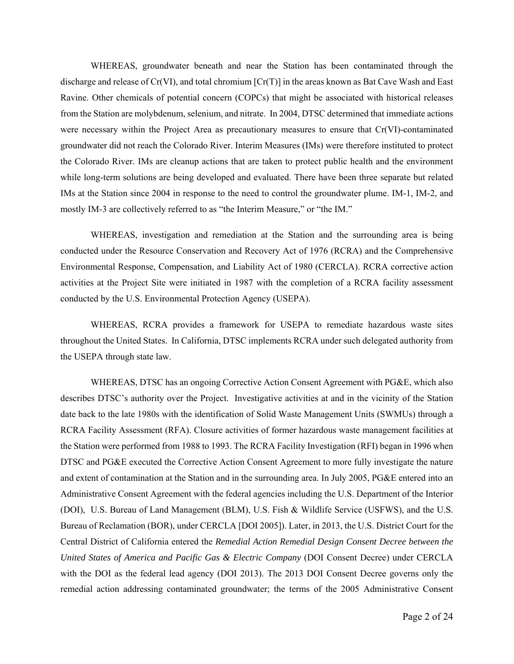WHEREAS, groundwater beneath and near the Station has been contaminated through the discharge and release of Cr(VI), and total chromium [Cr(T)] in the areas known as Bat Cave Wash and East Ravine. Other chemicals of potential concern (COPCs) that might be associated with historical releases from the Station are molybdenum, selenium, and nitrate. In 2004, DTSC determined that immediate actions were necessary within the Project Area as precautionary measures to ensure that Cr(VI)-contaminated groundwater did not reach the Colorado River. Interim Measures (IMs) were therefore instituted to protect the Colorado River. IMs are cleanup actions that are taken to protect public health and the environment while long-term solutions are being developed and evaluated. There have been three separate but related IMs at the Station since 2004 in response to the need to control the groundwater plume. IM-1, IM-2, and mostly IM-3 are collectively referred to as "the Interim Measure," or "the IM."

WHEREAS, investigation and remediation at the Station and the surrounding area is being conducted under the Resource Conservation and Recovery Act of 1976 (RCRA) and the Comprehensive Environmental Response, Compensation, and Liability Act of 1980 (CERCLA). RCRA corrective action activities at the Project Site were initiated in 1987 with the completion of a RCRA facility assessment conducted by the U.S. Environmental Protection Agency (USEPA).

 WHEREAS, RCRA provides a framework for USEPA to remediate hazardous waste sites throughout the United States. In California, DTSC implements RCRA under such delegated authority from the USEPA through state law.

WHEREAS, DTSC has an ongoing Corrective Action Consent Agreement with PG&E, which also describes DTSC's authority over the Project. Investigative activities at and in the vicinity of the Station date back to the late 1980s with the identification of Solid Waste Management Units (SWMUs) through a RCRA Facility Assessment (RFA). Closure activities of former hazardous waste management facilities at the Station were performed from 1988 to 1993. The RCRA Facility Investigation (RFI) began in 1996 when DTSC and PG&E executed the Corrective Action Consent Agreement to more fully investigate the nature and extent of contamination at the Station and in the surrounding area. In July 2005, PG&E entered into an Administrative Consent Agreement with the federal agencies including the U.S. Department of the Interior (DOI), U.S. Bureau of Land Management (BLM), U.S. Fish & Wildlife Service (USFWS), and the U.S. Bureau of Reclamation (BOR), under CERCLA [DOI 2005]). Later, in 2013, the U.S. District Court for the Central District of California entered the *Remedial Action Remedial Design Consent Decree between the United States of America and Pacific Gas & Electric Company* (DOI Consent Decree) under CERCLA with the DOI as the federal lead agency (DOI 2013). The 2013 DOI Consent Decree governs only the remedial action addressing contaminated groundwater; the terms of the 2005 Administrative Consent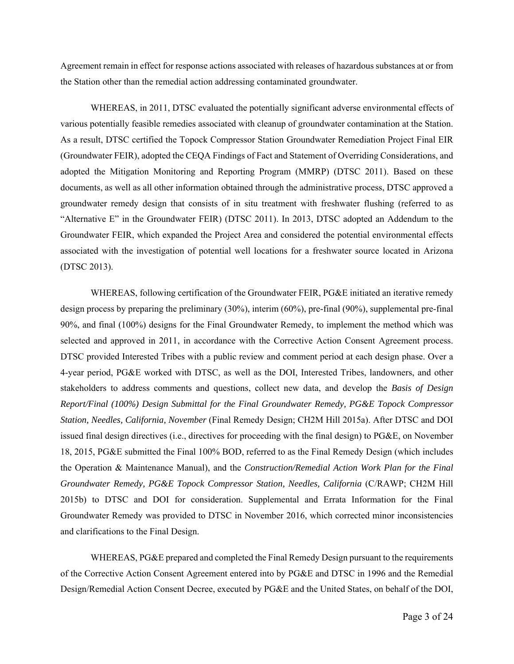Agreement remain in effect for response actions associated with releases of hazardous substances at or from the Station other than the remedial action addressing contaminated groundwater.

WHEREAS, in 2011, DTSC evaluated the potentially significant adverse environmental effects of various potentially feasible remedies associated with cleanup of groundwater contamination at the Station. As a result, DTSC certified the Topock Compressor Station Groundwater Remediation Project Final EIR (Groundwater FEIR), adopted the CEQA Findings of Fact and Statement of Overriding Considerations, and adopted the Mitigation Monitoring and Reporting Program (MMRP) (DTSC 2011). Based on these documents, as well as all other information obtained through the administrative process, DTSC approved a groundwater remedy design that consists of in situ treatment with freshwater flushing (referred to as "Alternative E" in the Groundwater FEIR) (DTSC 2011). In 2013, DTSC adopted an Addendum to the Groundwater FEIR, which expanded the Project Area and considered the potential environmental effects associated with the investigation of potential well locations for a freshwater source located in Arizona (DTSC 2013).

WHEREAS, following certification of the Groundwater FEIR, PG&E initiated an iterative remedy design process by preparing the preliminary (30%), interim (60%), pre-final (90%), supplemental pre-final 90%, and final (100%) designs for the Final Groundwater Remedy, to implement the method which was selected and approved in 2011, in accordance with the Corrective Action Consent Agreement process. DTSC provided Interested Tribes with a public review and comment period at each design phase. Over a 4-year period, PG&E worked with DTSC, as well as the DOI, Interested Tribes, landowners, and other stakeholders to address comments and questions, collect new data, and develop the *Basis of Design Report/Final (100%) Design Submittal for the Final Groundwater Remedy, PG&E Topock Compressor Station, Needles, California, November* (Final Remedy Design; CH2M Hill 2015a). After DTSC and DOI issued final design directives (i.e., directives for proceeding with the final design) to PG&E, on November 18, 2015, PG&E submitted the Final 100% BOD, referred to as the Final Remedy Design (which includes the Operation & Maintenance Manual), and the *Construction/Remedial Action Work Plan for the Final Groundwater Remedy, PG&E Topock Compressor Station, Needles, California* (C/RAWP; CH2M Hill 2015b) to DTSC and DOI for consideration. Supplemental and Errata Information for the Final Groundwater Remedy was provided to DTSC in November 2016, which corrected minor inconsistencies and clarifications to the Final Design.

WHEREAS, PG&E prepared and completed the Final Remedy Design pursuant to the requirements of the Corrective Action Consent Agreement entered into by PG&E and DTSC in 1996 and the Remedial Design/Remedial Action Consent Decree, executed by PG&E and the United States, on behalf of the DOI,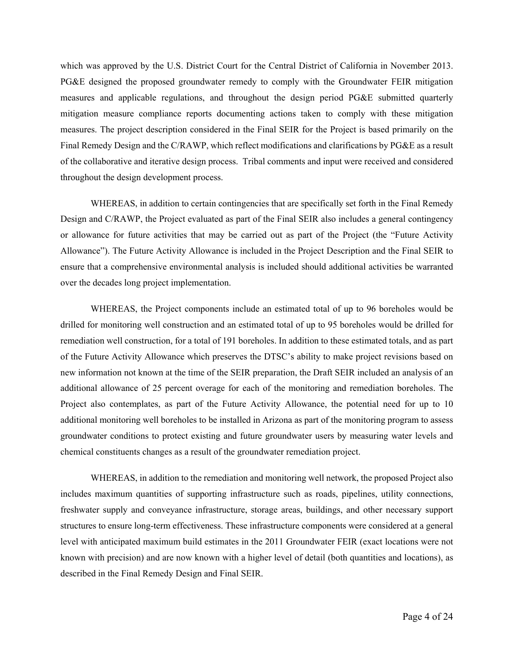which was approved by the U.S. District Court for the Central District of California in November 2013. PG&E designed the proposed groundwater remedy to comply with the Groundwater FEIR mitigation measures and applicable regulations, and throughout the design period PG&E submitted quarterly mitigation measure compliance reports documenting actions taken to comply with these mitigation measures. The project description considered in the Final SEIR for the Project is based primarily on the Final Remedy Design and the C/RAWP, which reflect modifications and clarifications by PG&E as a result of the collaborative and iterative design process. Tribal comments and input were received and considered throughout the design development process.

WHEREAS, in addition to certain contingencies that are specifically set forth in the Final Remedy Design and C/RAWP, the Project evaluated as part of the Final SEIR also includes a general contingency or allowance for future activities that may be carried out as part of the Project (the "Future Activity Allowance"). The Future Activity Allowance is included in the Project Description and the Final SEIR to ensure that a comprehensive environmental analysis is included should additional activities be warranted over the decades long project implementation.

WHEREAS, the Project components include an estimated total of up to 96 boreholes would be drilled for monitoring well construction and an estimated total of up to 95 boreholes would be drilled for remediation well construction, for a total of 191 boreholes. In addition to these estimated totals, and as part of the Future Activity Allowance which preserves the DTSC's ability to make project revisions based on new information not known at the time of the SEIR preparation, the Draft SEIR included an analysis of an additional allowance of 25 percent overage for each of the monitoring and remediation boreholes. The Project also contemplates, as part of the Future Activity Allowance, the potential need for up to 10 additional monitoring well boreholes to be installed in Arizona as part of the monitoring program to assess groundwater conditions to protect existing and future groundwater users by measuring water levels and chemical constituents changes as a result of the groundwater remediation project.

WHEREAS, in addition to the remediation and monitoring well network, the proposed Project also includes maximum quantities of supporting infrastructure such as roads, pipelines, utility connections, freshwater supply and conveyance infrastructure, storage areas, buildings, and other necessary support structures to ensure long-term effectiveness. These infrastructure components were considered at a general level with anticipated maximum build estimates in the 2011 Groundwater FEIR (exact locations were not known with precision) and are now known with a higher level of detail (both quantities and locations), as described in the Final Remedy Design and Final SEIR.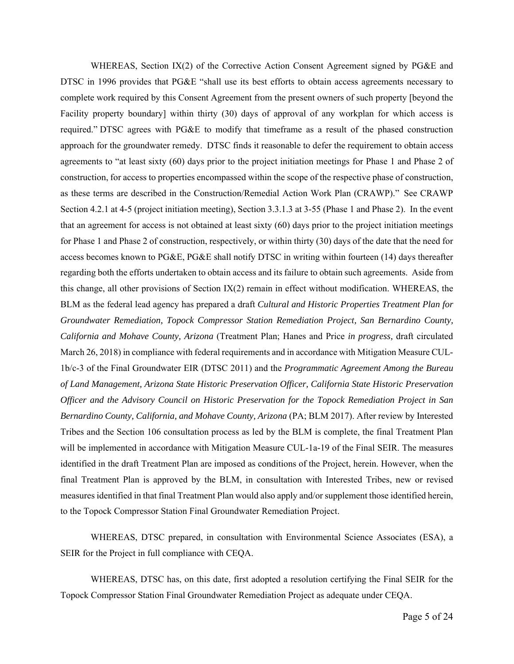WHEREAS, Section IX(2) of the Corrective Action Consent Agreement signed by PG&E and DTSC in 1996 provides that PG&E "shall use its best efforts to obtain access agreements necessary to complete work required by this Consent Agreement from the present owners of such property [beyond the Facility property boundary] within thirty (30) days of approval of any workplan for which access is required." DTSC agrees with PG&E to modify that timeframe as a result of the phased construction approach for the groundwater remedy. DTSC finds it reasonable to defer the requirement to obtain access agreements to "at least sixty (60) days prior to the project initiation meetings for Phase 1 and Phase 2 of construction, for access to properties encompassed within the scope of the respective phase of construction, as these terms are described in the Construction/Remedial Action Work Plan (CRAWP)." See CRAWP Section 4.2.1 at 4-5 (project initiation meeting), Section 3.3.1.3 at 3-55 (Phase 1 and Phase 2). In the event that an agreement for access is not obtained at least sixty (60) days prior to the project initiation meetings for Phase 1 and Phase 2 of construction, respectively, or within thirty (30) days of the date that the need for access becomes known to PG&E, PG&E shall notify DTSC in writing within fourteen (14) days thereafter regarding both the efforts undertaken to obtain access and its failure to obtain such agreements. Aside from this change, all other provisions of Section  $IX(2)$  remain in effect without modification. WHEREAS, the BLM as the federal lead agency has prepared a draft *Cultural and Historic Properties Treatment Plan for Groundwater Remediation, Topock Compressor Station Remediation Project, San Bernardino County, California and Mohave County, Arizona* (Treatment Plan; Hanes and Price *in progress,* draft circulated March 26, 2018) in compliance with federal requirements and in accordance with Mitigation Measure CUL-1b/c-3 of the Final Groundwater EIR (DTSC 2011) and the *Programmatic Agreement Among the Bureau of Land Management, Arizona State Historic Preservation Officer, California State Historic Preservation Officer and the Advisory Council on Historic Preservation for the Topock Remediation Project in San Bernardino County, California, and Mohave County, Arizona* (PA; BLM 2017). After review by Interested Tribes and the Section 106 consultation process as led by the BLM is complete, the final Treatment Plan will be implemented in accordance with Mitigation Measure CUL-1a-19 of the Final SEIR. The measures identified in the draft Treatment Plan are imposed as conditions of the Project, herein. However, when the final Treatment Plan is approved by the BLM, in consultation with Interested Tribes, new or revised measures identified in that final Treatment Plan would also apply and/or supplement those identified herein, to the Topock Compressor Station Final Groundwater Remediation Project.

 WHEREAS, DTSC prepared, in consultation with Environmental Science Associates (ESA), a SEIR for the Project in full compliance with CEQA.

WHEREAS, DTSC has, on this date, first adopted a resolution certifying the Final SEIR for the Topock Compressor Station Final Groundwater Remediation Project as adequate under CEQA.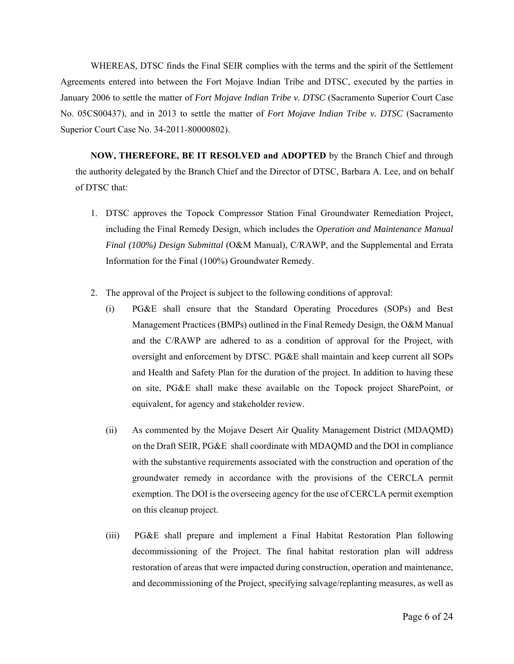WHEREAS, DTSC finds the Final SEIR complies with the terms and the spirit of the Settlement Agreements entered into between the Fort Mojave Indian Tribe and DTSC, executed by the parties in January 2006 to settle the matter of *Fort Mojave Indian Tribe v. DTSC* (Sacramento Superior Court Case No. 05CS00437), and in 2013 to settle the matter of *Fort Mojave Indian Tribe v. DTSC* (Sacramento Superior Court Case No. 34-2011-80000802).

**NOW, THEREFORE, BE IT RESOLVED and ADOPTED** by the Branch Chief and through the authority delegated by the Branch Chief and the Director of DTSC, Barbara A. Lee, and on behalf of DTSC that:

- 1. DTSC approves the Topock Compressor Station Final Groundwater Remediation Project, including the Final Remedy Design, which includes the *Operation and Maintenance Manual Final (100%) Design Submittal* (O&M Manual), C/RAWP, and the Supplemental and Errata Information for the Final (100%) Groundwater Remedy.
- 2. The approval of the Project is subject to the following conditions of approval:
	- (i) PG&E shall ensure that the Standard Operating Procedures (SOPs) and Best Management Practices (BMPs) outlined in the Final Remedy Design, the O&M Manual and the C/RAWP are adhered to as a condition of approval for the Project, with oversight and enforcement by DTSC. PG&E shall maintain and keep current all SOPs and Health and Safety Plan for the duration of the project. In addition to having these on site, PG&E shall make these available on the Topock project SharePoint, or equivalent, for agency and stakeholder review.
	- (ii) As commented by the Mojave Desert Air Quality Management District (MDAQMD) on the Draft SEIR, PG&E shall coordinate with MDAQMD and the DOI in compliance with the substantive requirements associated with the construction and operation of the groundwater remedy in accordance with the provisions of the CERCLA permit exemption. The DOI is the overseeing agency for the use of CERCLA permit exemption on this cleanup project.
	- (iii) PG&E shall prepare and implement a Final Habitat Restoration Plan following decommissioning of the Project. The final habitat restoration plan will address restoration of areas that were impacted during construction, operation and maintenance, and decommissioning of the Project, specifying salvage/replanting measures, as well as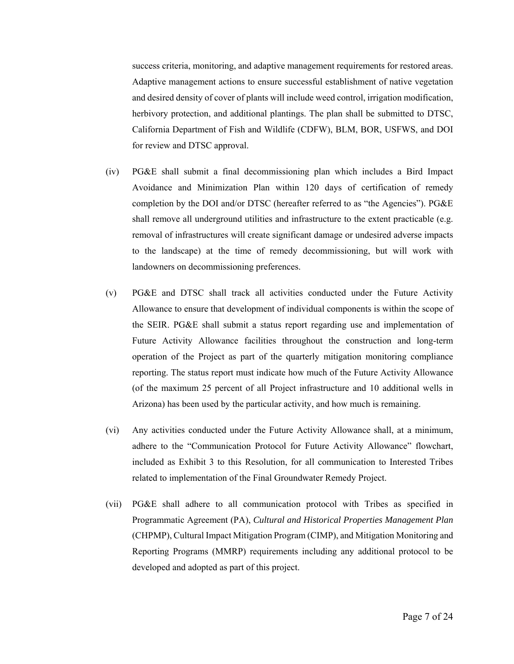success criteria, monitoring, and adaptive management requirements for restored areas. Adaptive management actions to ensure successful establishment of native vegetation and desired density of cover of plants will include weed control, irrigation modification, herbivory protection, and additional plantings. The plan shall be submitted to DTSC, California Department of Fish and Wildlife (CDFW), BLM, BOR, USFWS, and DOI for review and DTSC approval.

- (iv) PG&E shall submit a final decommissioning plan which includes a Bird Impact Avoidance and Minimization Plan within 120 days of certification of remedy completion by the DOI and/or DTSC (hereafter referred to as "the Agencies"). PG&E shall remove all underground utilities and infrastructure to the extent practicable (e.g. removal of infrastructures will create significant damage or undesired adverse impacts to the landscape) at the time of remedy decommissioning, but will work with landowners on decommissioning preferences.
- (v) PG&E and DTSC shall track all activities conducted under the Future Activity Allowance to ensure that development of individual components is within the scope of the SEIR. PG&E shall submit a status report regarding use and implementation of Future Activity Allowance facilities throughout the construction and long-term operation of the Project as part of the quarterly mitigation monitoring compliance reporting. The status report must indicate how much of the Future Activity Allowance (of the maximum 25 percent of all Project infrastructure and 10 additional wells in Arizona) has been used by the particular activity, and how much is remaining.
- (vi) Any activities conducted under the Future Activity Allowance shall, at a minimum, adhere to the "Communication Protocol for Future Activity Allowance" flowchart, included as Exhibit 3 to this Resolution, for all communication to Interested Tribes related to implementation of the Final Groundwater Remedy Project.
- (vii) PG&E shall adhere to all communication protocol with Tribes as specified in Programmatic Agreement (PA), *Cultural and Historical Properties Management Plan* (CHPMP), Cultural Impact Mitigation Program (CIMP), and Mitigation Monitoring and Reporting Programs (MMRP) requirements including any additional protocol to be developed and adopted as part of this project.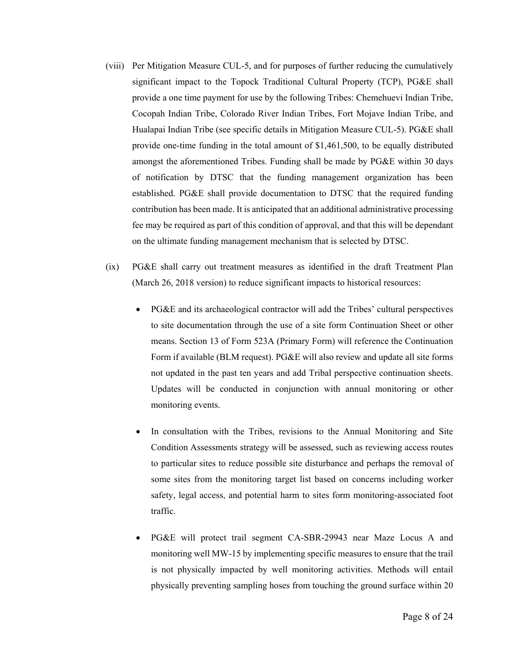- (viii) Per Mitigation Measure CUL-5, and for purposes of further reducing the cumulatively significant impact to the Topock Traditional Cultural Property (TCP), PG&E shall provide a one time payment for use by the following Tribes: Chemehuevi Indian Tribe, Cocopah Indian Tribe, Colorado River Indian Tribes, Fort Mojave Indian Tribe, and Hualapai Indian Tribe (see specific details in Mitigation Measure CUL-5). PG&E shall provide one-time funding in the total amount of \$1,461,500, to be equally distributed amongst the aforementioned Tribes. Funding shall be made by PG&E within 30 days of notification by DTSC that the funding management organization has been established. PG&E shall provide documentation to DTSC that the required funding contribution has been made. It is anticipated that an additional administrative processing fee may be required as part of this condition of approval, and that this will be dependant on the ultimate funding management mechanism that is selected by DTSC.
- (ix) PG&E shall carry out treatment measures as identified in the draft Treatment Plan (March 26, 2018 version) to reduce significant impacts to historical resources:
	- PG&E and its archaeological contractor will add the Tribes' cultural perspectives to site documentation through the use of a site form Continuation Sheet or other means. Section 13 of Form 523A (Primary Form) will reference the Continuation Form if available (BLM request). PG&E will also review and update all site forms not updated in the past ten years and add Tribal perspective continuation sheets. Updates will be conducted in conjunction with annual monitoring or other monitoring events.
	- In consultation with the Tribes, revisions to the Annual Monitoring and Site Condition Assessments strategy will be assessed, such as reviewing access routes to particular sites to reduce possible site disturbance and perhaps the removal of some sites from the monitoring target list based on concerns including worker safety, legal access, and potential harm to sites form monitoring-associated foot traffic.
	- PG&E will protect trail segment CA-SBR-29943 near Maze Locus A and monitoring well MW-15 by implementing specific measures to ensure that the trail is not physically impacted by well monitoring activities. Methods will entail physically preventing sampling hoses from touching the ground surface within 20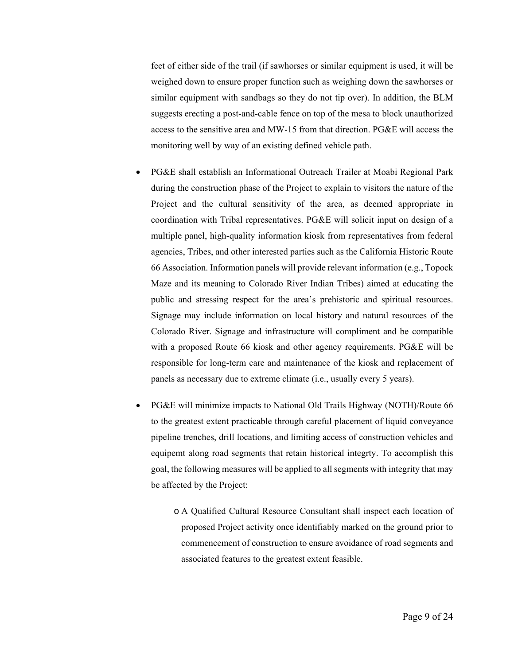feet of either side of the trail (if sawhorses or similar equipment is used, it will be weighed down to ensure proper function such as weighing down the sawhorses or similar equipment with sandbags so they do not tip over). In addition, the BLM suggests erecting a post-and-cable fence on top of the mesa to block unauthorized access to the sensitive area and MW-15 from that direction. PG&E will access the monitoring well by way of an existing defined vehicle path.

- PG&E shall establish an Informational Outreach Trailer at Moabi Regional Park during the construction phase of the Project to explain to visitors the nature of the Project and the cultural sensitivity of the area, as deemed appropriate in coordination with Tribal representatives. PG&E will solicit input on design of a multiple panel, high-quality information kiosk from representatives from federal agencies, Tribes, and other interested parties such as the California Historic Route 66 Association. Information panels will provide relevant information (e.g., Topock Maze and its meaning to Colorado River Indian Tribes) aimed at educating the public and stressing respect for the area's prehistoric and spiritual resources. Signage may include information on local history and natural resources of the Colorado River. Signage and infrastructure will compliment and be compatible with a proposed Route 66 kiosk and other agency requirements. PG&E will be responsible for long-term care and maintenance of the kiosk and replacement of panels as necessary due to extreme climate (i.e., usually every 5 years).
- PG&E will minimize impacts to National Old Trails Highway (NOTH)/Route 66 to the greatest extent practicable through careful placement of liquid conveyance pipeline trenches, drill locations, and limiting access of construction vehicles and equipemt along road segments that retain historical integrty. To accomplish this goal, the following measures will be applied to all segments with integrity that may be affected by the Project:
	- o A Qualified Cultural Resource Consultant shall inspect each location of proposed Project activity once identifiably marked on the ground prior to commencement of construction to ensure avoidance of road segments and associated features to the greatest extent feasible.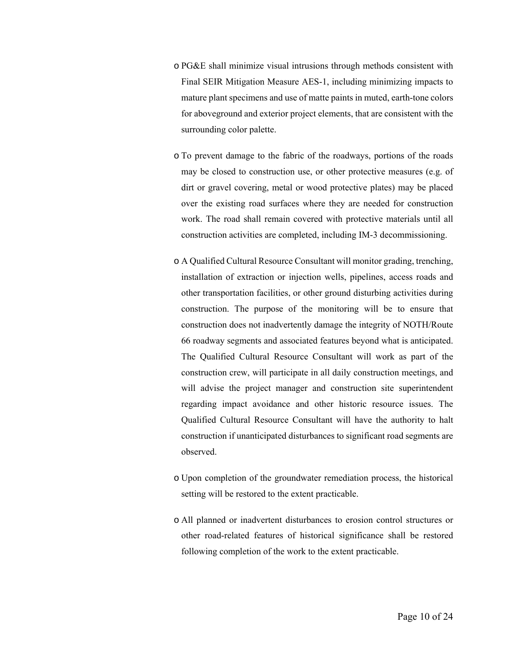- o PG&E shall minimize visual intrusions through methods consistent with Final SEIR Mitigation Measure AES-1, including minimizing impacts to mature plant specimens and use of matte paints in muted, earth-tone colors for aboveground and exterior project elements, that are consistent with the surrounding color palette.
- o To prevent damage to the fabric of the roadways, portions of the roads may be closed to construction use, or other protective measures (e.g. of dirt or gravel covering, metal or wood protective plates) may be placed over the existing road surfaces where they are needed for construction work. The road shall remain covered with protective materials until all construction activities are completed, including IM-3 decommissioning.
- o A Qualified Cultural Resource Consultant will monitor grading, trenching, installation of extraction or injection wells, pipelines, access roads and other transportation facilities, or other ground disturbing activities during construction. The purpose of the monitoring will be to ensure that construction does not inadvertently damage the integrity of NOTH/Route 66 roadway segments and associated features beyond what is anticipated. The Qualified Cultural Resource Consultant will work as part of the construction crew, will participate in all daily construction meetings, and will advise the project manager and construction site superintendent regarding impact avoidance and other historic resource issues. The Qualified Cultural Resource Consultant will have the authority to halt construction if unanticipated disturbances to significant road segments are observed.
- o Upon completion of the groundwater remediation process, the historical setting will be restored to the extent practicable.
- o All planned or inadvertent disturbances to erosion control structures or other road-related features of historical significance shall be restored following completion of the work to the extent practicable.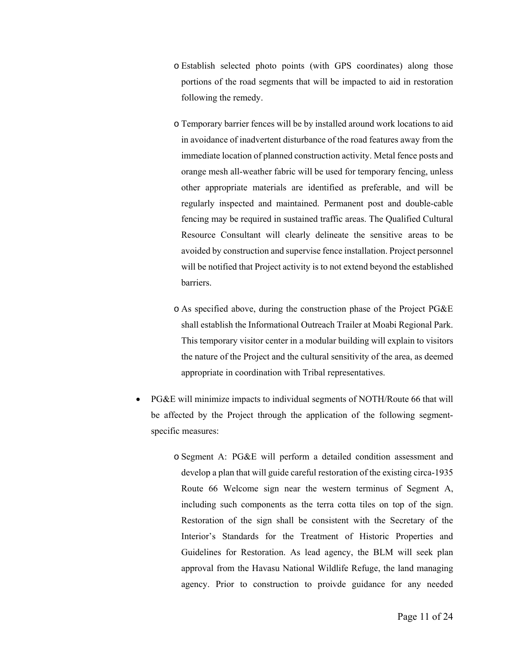- o Establish selected photo points (with GPS coordinates) along those portions of the road segments that will be impacted to aid in restoration following the remedy.
- o Temporary barrier fences will be by installed around work locations to aid in avoidance of inadvertent disturbance of the road features away from the immediate location of planned construction activity. Metal fence posts and orange mesh all-weather fabric will be used for temporary fencing, unless other appropriate materials are identified as preferable, and will be regularly inspected and maintained. Permanent post and double-cable fencing may be required in sustained traffic areas. The Qualified Cultural Resource Consultant will clearly delineate the sensitive areas to be avoided by construction and supervise fence installation. Project personnel will be notified that Project activity is to not extend beyond the established barriers.
- o As specified above, during the construction phase of the Project PG&E shall establish the Informational Outreach Trailer at Moabi Regional Park. This temporary visitor center in a modular building will explain to visitors the nature of the Project and the cultural sensitivity of the area, as deemed appropriate in coordination with Tribal representatives.
- PG&E will minimize impacts to individual segments of NOTH/Route 66 that will be affected by the Project through the application of the following segmentspecific measures:
	- o Segment A: PG&E will perform a detailed condition assessment and develop a plan that will guide careful restoration of the existing circa-1935 Route 66 Welcome sign near the western terminus of Segment A, including such components as the terra cotta tiles on top of the sign. Restoration of the sign shall be consistent with the Secretary of the Interior's Standards for the Treatment of Historic Properties and Guidelines for Restoration. As lead agency, the BLM will seek plan approval from the Havasu National Wildlife Refuge, the land managing agency. Prior to construction to proivde guidance for any needed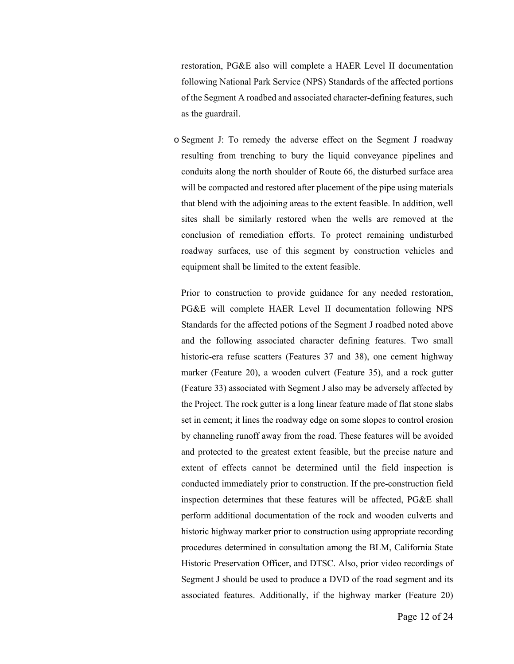restoration, PG&E also will complete a HAER Level II documentation following National Park Service (NPS) Standards of the affected portions of the Segment A roadbed and associated character-defining features, such as the guardrail.

o Segment J: To remedy the adverse effect on the Segment J roadway resulting from trenching to bury the liquid conveyance pipelines and conduits along the north shoulder of Route 66, the disturbed surface area will be compacted and restored after placement of the pipe using materials that blend with the adjoining areas to the extent feasible. In addition, well sites shall be similarly restored when the wells are removed at the conclusion of remediation efforts. To protect remaining undisturbed roadway surfaces, use of this segment by construction vehicles and equipment shall be limited to the extent feasible.

Prior to construction to provide guidance for any needed restoration, PG&E will complete HAER Level II documentation following NPS Standards for the affected potions of the Segment J roadbed noted above and the following associated character defining features. Two small historic-era refuse scatters (Features 37 and 38), one cement highway marker (Feature 20), a wooden culvert (Feature 35), and a rock gutter (Feature 33) associated with Segment J also may be adversely affected by the Project. The rock gutter is a long linear feature made of flat stone slabs set in cement; it lines the roadway edge on some slopes to control erosion by channeling runoff away from the road. These features will be avoided and protected to the greatest extent feasible, but the precise nature and extent of effects cannot be determined until the field inspection is conducted immediately prior to construction. If the pre-construction field inspection determines that these features will be affected, PG&E shall perform additional documentation of the rock and wooden culverts and historic highway marker prior to construction using appropriate recording procedures determined in consultation among the BLM, California State Historic Preservation Officer, and DTSC. Also, prior video recordings of Segment J should be used to produce a DVD of the road segment and its associated features. Additionally, if the highway marker (Feature 20)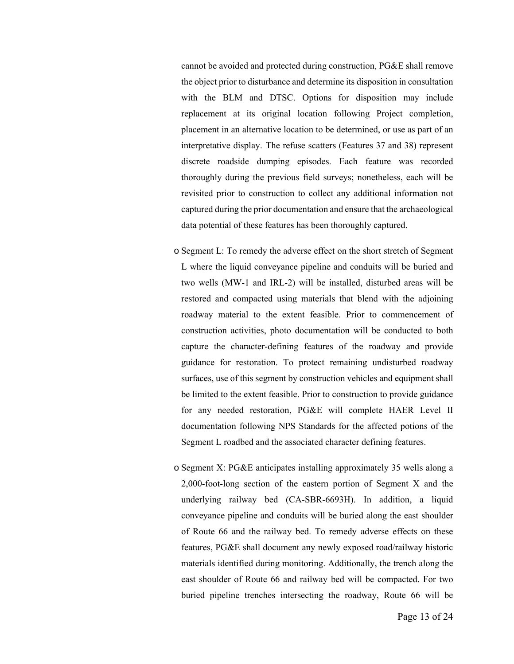cannot be avoided and protected during construction, PG&E shall remove the object prior to disturbance and determine its disposition in consultation with the BLM and DTSC. Options for disposition may include replacement at its original location following Project completion, placement in an alternative location to be determined, or use as part of an interpretative display. The refuse scatters (Features 37 and 38) represent discrete roadside dumping episodes. Each feature was recorded thoroughly during the previous field surveys; nonetheless, each will be revisited prior to construction to collect any additional information not captured during the prior documentation and ensure that the archaeological data potential of these features has been thoroughly captured.

- o Segment L: To remedy the adverse effect on the short stretch of Segment L where the liquid conveyance pipeline and conduits will be buried and two wells (MW-1 and IRL-2) will be installed, disturbed areas will be restored and compacted using materials that blend with the adjoining roadway material to the extent feasible. Prior to commencement of construction activities, photo documentation will be conducted to both capture the character-defining features of the roadway and provide guidance for restoration. To protect remaining undisturbed roadway surfaces, use of this segment by construction vehicles and equipment shall be limited to the extent feasible. Prior to construction to provide guidance for any needed restoration, PG&E will complete HAER Level II documentation following NPS Standards for the affected potions of the Segment L roadbed and the associated character defining features.
- o Segment X: PG&E anticipates installing approximately 35 wells along a 2,000-foot-long section of the eastern portion of Segment X and the underlying railway bed (CA-SBR-6693H). In addition, a liquid conveyance pipeline and conduits will be buried along the east shoulder of Route 66 and the railway bed. To remedy adverse effects on these features, PG&E shall document any newly exposed road/railway historic materials identified during monitoring. Additionally, the trench along the east shoulder of Route 66 and railway bed will be compacted. For two buried pipeline trenches intersecting the roadway, Route 66 will be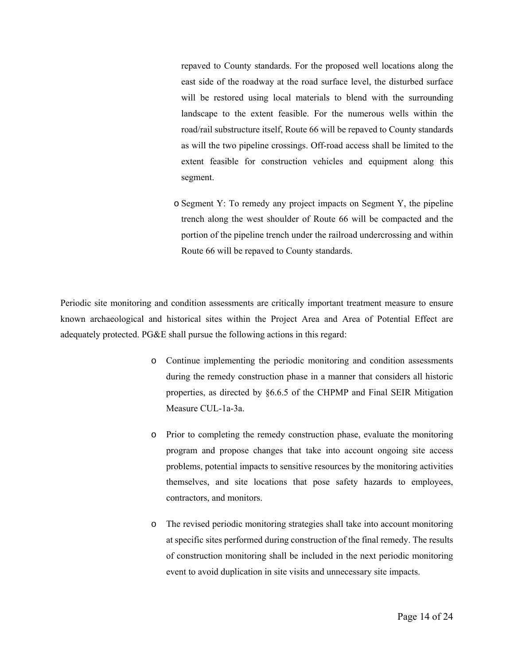repaved to County standards. For the proposed well locations along the east side of the roadway at the road surface level, the disturbed surface will be restored using local materials to blend with the surrounding landscape to the extent feasible. For the numerous wells within the road/rail substructure itself, Route 66 will be repaved to County standards as will the two pipeline crossings. Off-road access shall be limited to the extent feasible for construction vehicles and equipment along this segment.

o Segment Y: To remedy any project impacts on Segment Y, the pipeline trench along the west shoulder of Route 66 will be compacted and the portion of the pipeline trench under the railroad undercrossing and within Route 66 will be repaved to County standards.

Periodic site monitoring and condition assessments are critically important treatment measure to ensure known archaeological and historical sites within the Project Area and Area of Potential Effect are adequately protected. PG&E shall pursue the following actions in this regard:

- o Continue implementing the periodic monitoring and condition assessments during the remedy construction phase in a manner that considers all historic properties, as directed by §6.6.5 of the CHPMP and Final SEIR Mitigation Measure CUL-1a-3a.
- o Prior to completing the remedy construction phase, evaluate the monitoring program and propose changes that take into account ongoing site access problems, potential impacts to sensitive resources by the monitoring activities themselves, and site locations that pose safety hazards to employees, contractors, and monitors.
- o The revised periodic monitoring strategies shall take into account monitoring at specific sites performed during construction of the final remedy. The results of construction monitoring shall be included in the next periodic monitoring event to avoid duplication in site visits and unnecessary site impacts.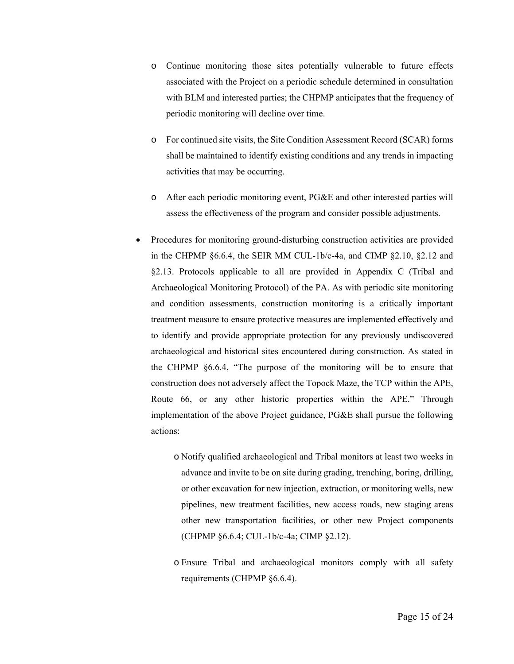- o Continue monitoring those sites potentially vulnerable to future effects associated with the Project on a periodic schedule determined in consultation with BLM and interested parties; the CHPMP anticipates that the frequency of periodic monitoring will decline over time.
- o For continued site visits, the Site Condition Assessment Record (SCAR) forms shall be maintained to identify existing conditions and any trends in impacting activities that may be occurring.
- o After each periodic monitoring event, PG&E and other interested parties will assess the effectiveness of the program and consider possible adjustments.
- Procedures for monitoring ground-disturbing construction activities are provided in the CHPMP §6.6.4, the SEIR MM CUL-1b/c-4a, and CIMP §2.10, §2.12 and §2.13. Protocols applicable to all are provided in Appendix C (Tribal and Archaeological Monitoring Protocol) of the PA. As with periodic site monitoring and condition assessments, construction monitoring is a critically important treatment measure to ensure protective measures are implemented effectively and to identify and provide appropriate protection for any previously undiscovered archaeological and historical sites encountered during construction. As stated in the CHPMP §6.6.4, "The purpose of the monitoring will be to ensure that construction does not adversely affect the Topock Maze, the TCP within the APE, Route 66, or any other historic properties within the APE." Through implementation of the above Project guidance, PG&E shall pursue the following actions:
	- o Notify qualified archaeological and Tribal monitors at least two weeks in advance and invite to be on site during grading, trenching, boring, drilling, or other excavation for new injection, extraction, or monitoring wells, new pipelines, new treatment facilities, new access roads, new staging areas other new transportation facilities, or other new Project components (CHPMP §6.6.4; CUL-1b/c-4a; CIMP §2.12).
	- o Ensure Tribal and archaeological monitors comply with all safety requirements (CHPMP §6.6.4).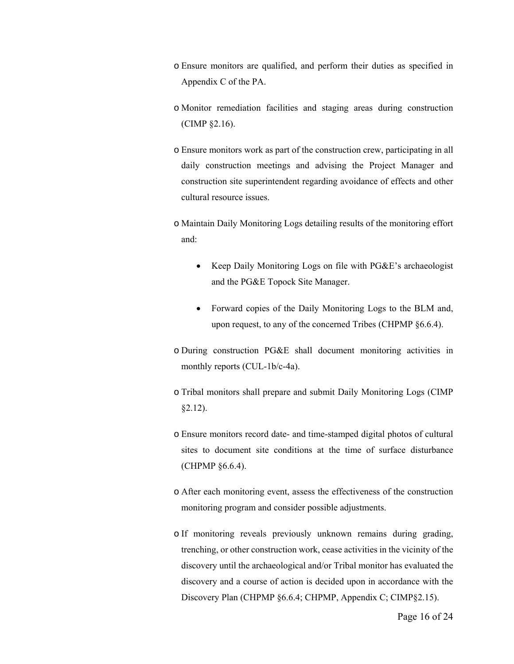- o Ensure monitors are qualified, and perform their duties as specified in Appendix C of the PA.
- o Monitor remediation facilities and staging areas during construction (CIMP §2.16).
- o Ensure monitors work as part of the construction crew, participating in all daily construction meetings and advising the Project Manager and construction site superintendent regarding avoidance of effects and other cultural resource issues.
- o Maintain Daily Monitoring Logs detailing results of the monitoring effort and:
	- Keep Daily Monitoring Logs on file with PG&E's archaeologist and the PG&E Topock Site Manager.
	- Forward copies of the Daily Monitoring Logs to the BLM and, upon request, to any of the concerned Tribes (CHPMP §6.6.4).
- o During construction PG&E shall document monitoring activities in monthly reports (CUL-1b/c-4a).
- o Tribal monitors shall prepare and submit Daily Monitoring Logs (CIMP §2.12).
- o Ensure monitors record date- and time-stamped digital photos of cultural sites to document site conditions at the time of surface disturbance (CHPMP §6.6.4).
- o After each monitoring event, assess the effectiveness of the construction monitoring program and consider possible adjustments.
- o If monitoring reveals previously unknown remains during grading, trenching, or other construction work, cease activities in the vicinity of the discovery until the archaeological and/or Tribal monitor has evaluated the discovery and a course of action is decided upon in accordance with the Discovery Plan (CHPMP §6.6.4; CHPMP, Appendix C; CIMP§2.15).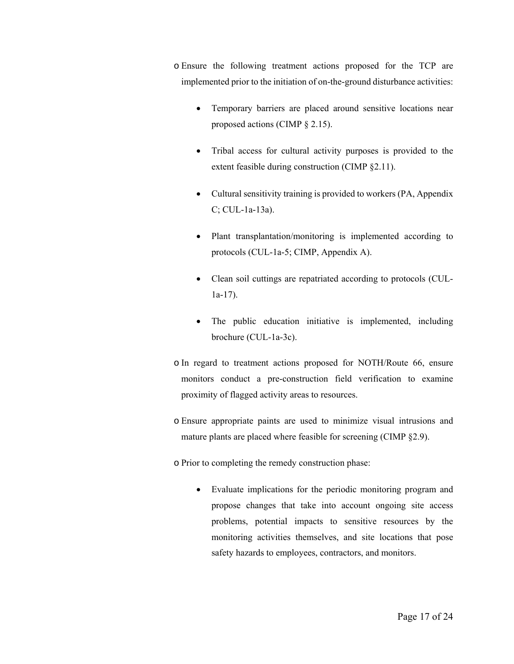o Ensure the following treatment actions proposed for the TCP are implemented prior to the initiation of on-the-ground disturbance activities:

- Temporary barriers are placed around sensitive locations near proposed actions (CIMP § 2.15).
- Tribal access for cultural activity purposes is provided to the extent feasible during construction (CIMP §2.11).
- Cultural sensitivity training is provided to workers (PA, Appendix C; CUL-1a-13a).
- Plant transplantation/monitoring is implemented according to protocols (CUL-1a-5; CIMP, Appendix A).
- Clean soil cuttings are repatriated according to protocols (CUL-1a-17).
- The public education initiative is implemented, including brochure (CUL-1a-3c).
- o In regard to treatment actions proposed for NOTH/Route 66, ensure monitors conduct a pre-construction field verification to examine proximity of flagged activity areas to resources.
- o Ensure appropriate paints are used to minimize visual intrusions and mature plants are placed where feasible for screening (CIMP §2.9).
- o Prior to completing the remedy construction phase:
	- Evaluate implications for the periodic monitoring program and propose changes that take into account ongoing site access problems, potential impacts to sensitive resources by the monitoring activities themselves, and site locations that pose safety hazards to employees, contractors, and monitors.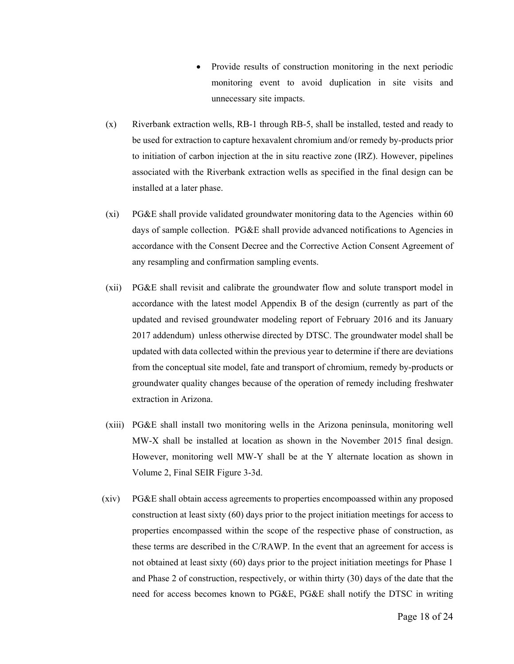- Provide results of construction monitoring in the next periodic monitoring event to avoid duplication in site visits and unnecessary site impacts.
- (x) Riverbank extraction wells, RB-1 through RB-5, shall be installed, tested and ready to be used for extraction to capture hexavalent chromium and/or remedy by-products prior to initiation of carbon injection at the in situ reactive zone (IRZ). However, pipelines associated with the Riverbank extraction wells as specified in the final design can be installed at a later phase.
- (xi) PG&E shall provide validated groundwater monitoring data to the Agencies within 60 days of sample collection. PG&E shall provide advanced notifications to Agencies in accordance with the Consent Decree and the Corrective Action Consent Agreement of any resampling and confirmation sampling events.
- (xii) PG&E shall revisit and calibrate the groundwater flow and solute transport model in accordance with the latest model Appendix B of the design (currently as part of the updated and revised groundwater modeling report of February 2016 and its January 2017 addendum) unless otherwise directed by DTSC. The groundwater model shall be updated with data collected within the previous year to determine if there are deviations from the conceptual site model, fate and transport of chromium, remedy by-products or groundwater quality changes because of the operation of remedy including freshwater extraction in Arizona.
- (xiii) PG&E shall install two monitoring wells in the Arizona peninsula, monitoring well MW-X shall be installed at location as shown in the November 2015 final design. However, monitoring well MW-Y shall be at the Y alternate location as shown in Volume 2, Final SEIR Figure 3-3d.
- (xiv) PG&E shall obtain access agreements to properties encompoassed within any proposed construction at least sixty (60) days prior to the project initiation meetings for access to properties encompassed within the scope of the respective phase of construction, as these terms are described in the C/RAWP. In the event that an agreement for access is not obtained at least sixty (60) days prior to the project initiation meetings for Phase 1 and Phase 2 of construction, respectively, or within thirty (30) days of the date that the need for access becomes known to PG&E, PG&E shall notify the DTSC in writing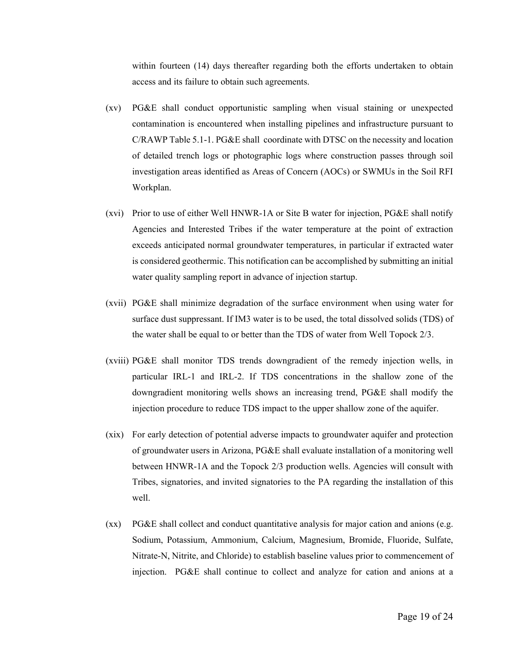within fourteen (14) days thereafter regarding both the efforts undertaken to obtain access and its failure to obtain such agreements.

- (xv) PG&E shall conduct opportunistic sampling when visual staining or unexpected contamination is encountered when installing pipelines and infrastructure pursuant to C/RAWP Table 5.1-1. PG&E shall coordinate with DTSC on the necessity and location of detailed trench logs or photographic logs where construction passes through soil investigation areas identified as Areas of Concern (AOCs) or SWMUs in the Soil RFI Workplan.
- (xvi) Prior to use of either Well HNWR-1A or Site B water for injection, PG&E shall notify Agencies and Interested Tribes if the water temperature at the point of extraction exceeds anticipated normal groundwater temperatures, in particular if extracted water is considered geothermic. This notification can be accomplished by submitting an initial water quality sampling report in advance of injection startup.
- (xvii) PG&E shall minimize degradation of the surface environment when using water for surface dust suppressant. If IM3 water is to be used, the total dissolved solids (TDS) of the water shall be equal to or better than the TDS of water from Well Topock 2/3.
- (xviii) PG&E shall monitor TDS trends downgradient of the remedy injection wells, in particular IRL-1 and IRL-2. If TDS concentrations in the shallow zone of the downgradient monitoring wells shows an increasing trend, PG&E shall modify the injection procedure to reduce TDS impact to the upper shallow zone of the aquifer.
- (xix) For early detection of potential adverse impacts to groundwater aquifer and protection of groundwater users in Arizona, PG&E shall evaluate installation of a monitoring well between HNWR-1A and the Topock 2/3 production wells. Agencies will consult with Tribes, signatories, and invited signatories to the PA regarding the installation of this well.
- (xx) PG&E shall collect and conduct quantitative analysis for major cation and anions (e.g. Sodium, Potassium, Ammonium, Calcium, Magnesium, Bromide, Fluoride, Sulfate, Nitrate-N, Nitrite, and Chloride) to establish baseline values prior to commencement of injection. PG&E shall continue to collect and analyze for cation and anions at a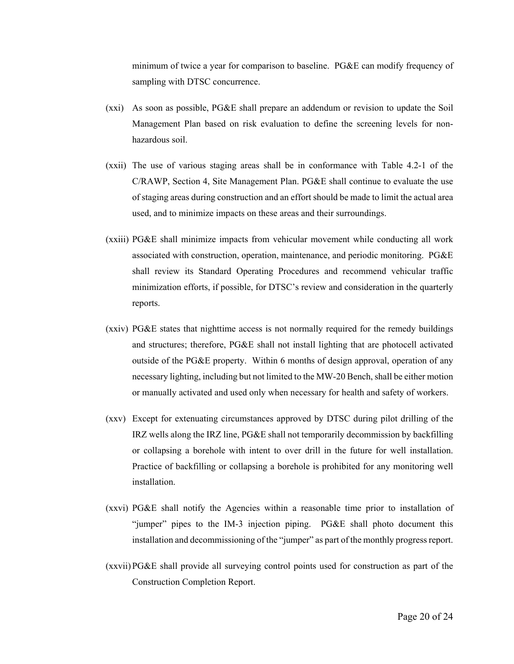minimum of twice a year for comparison to baseline. PG&E can modify frequency of sampling with DTSC concurrence.

- (xxi) As soon as possible, PG&E shall prepare an addendum or revision to update the Soil Management Plan based on risk evaluation to define the screening levels for nonhazardous soil.
- (xxii) The use of various staging areas shall be in conformance with Table 4.2-1 of the C/RAWP, Section 4, Site Management Plan. PG&E shall continue to evaluate the use of staging areas during construction and an effort should be made to limit the actual area used, and to minimize impacts on these areas and their surroundings.
- (xxiii) PG&E shall minimize impacts from vehicular movement while conducting all work associated with construction, operation, maintenance, and periodic monitoring. PG&E shall review its Standard Operating Procedures and recommend vehicular traffic minimization efforts, if possible, for DTSC's review and consideration in the quarterly reports.
- (xxiv) PG&E states that nighttime access is not normally required for the remedy buildings and structures; therefore, PG&E shall not install lighting that are photocell activated outside of the PG&E property. Within 6 months of design approval, operation of any necessary lighting, including but not limited to the MW-20 Bench, shall be either motion or manually activated and used only when necessary for health and safety of workers.
- (xxv) Except for extenuating circumstances approved by DTSC during pilot drilling of the IRZ wells along the IRZ line, PG&E shall not temporarily decommission by backfilling or collapsing a borehole with intent to over drill in the future for well installation. Practice of backfilling or collapsing a borehole is prohibited for any monitoring well installation.
- (xxvi) PG&E shall notify the Agencies within a reasonable time prior to installation of "jumper" pipes to the IM-3 injection piping. PG&E shall photo document this installation and decommissioning of the "jumper" as part of the monthly progress report.
- (xxvii)PG&E shall provide all surveying control points used for construction as part of the Construction Completion Report.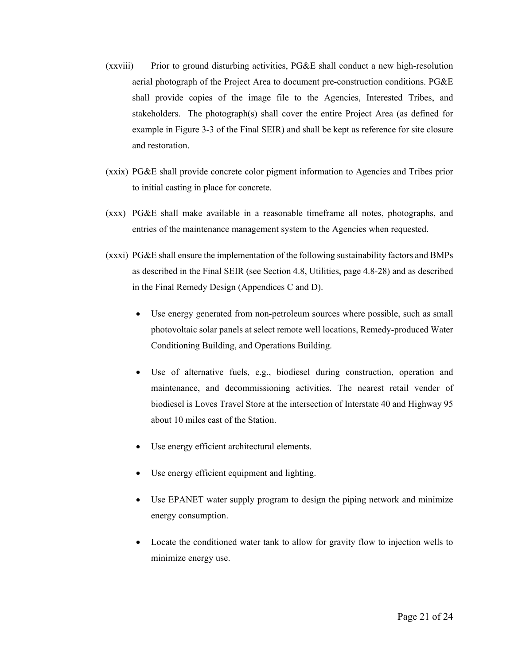- (xxviii) Prior to ground disturbing activities, PG&E shall conduct a new high-resolution aerial photograph of the Project Area to document pre-construction conditions. PG&E shall provide copies of the image file to the Agencies, Interested Tribes, and stakeholders. The photograph(s) shall cover the entire Project Area (as defined for example in Figure 3-3 of the Final SEIR) and shall be kept as reference for site closure and restoration.
- (xxix) PG&E shall provide concrete color pigment information to Agencies and Tribes prior to initial casting in place for concrete.
- (xxx) PG&E shall make available in a reasonable timeframe all notes, photographs, and entries of the maintenance management system to the Agencies when requested.
- (xxxi) PG&E shall ensure the implementation of the following sustainability factors and BMPs as described in the Final SEIR (see Section 4.8, Utilities, page 4.8-28) and as described in the Final Remedy Design (Appendices C and D).
	- Use energy generated from non-petroleum sources where possible, such as small photovoltaic solar panels at select remote well locations, Remedy-produced Water Conditioning Building, and Operations Building.
	- Use of alternative fuels, e.g., biodiesel during construction, operation and maintenance, and decommissioning activities. The nearest retail vender of biodiesel is Loves Travel Store at the intersection of Interstate 40 and Highway 95 about 10 miles east of the Station.
	- Use energy efficient architectural elements.
	- Use energy efficient equipment and lighting.
	- Use EPANET water supply program to design the piping network and minimize energy consumption.
	- Locate the conditioned water tank to allow for gravity flow to injection wells to minimize energy use.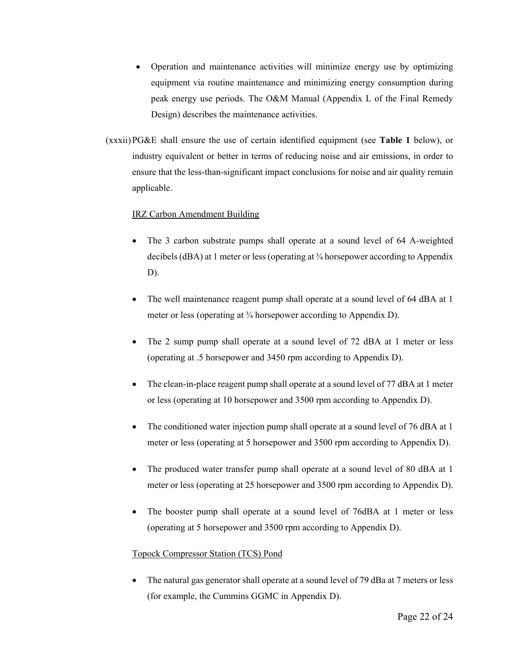- Operation and maintenance activities will minimize energy use by optimizing equipment via routine maintenance and minimizing energy consumption during peak energy use periods. The O&M Manual (Appendix L of the Final Remedy Design) describes the maintenance activities.
- (xxxii)PG&E shall ensure the use of certain identified equipment (see **Table 1** below), or industry equivalent or better in terms of reducing noise and air emissions, in order to ensure that the less-than-significant impact conclusions for noise and air quality remain applicable.

#### IRZ Carbon Amendment Building

- The 3 carbon substrate pumps shall operate at a sound level of 64 A-weighted decibels (dBA) at 1 meter or less (operating at ¾ horsepower according to Appendix D).
- The well maintenance reagent pump shall operate at a sound level of 64 dBA at 1 meter or less (operating at  $\frac{3}{4}$  horsepower according to Appendix D).
- The 2 sump pump shall operate at a sound level of 72 dBA at 1 meter or less (operating at .5 horsepower and 3450 rpm according to Appendix D).
- The clean-in-place reagent pump shall operate at a sound level of 77 dBA at 1 meter or less (operating at 10 horsepower and 3500 rpm according to Appendix D).
- The conditioned water injection pump shall operate at a sound level of 76 dBA at 1 meter or less (operating at 5 horsepower and 3500 rpm according to Appendix D).
- The produced water transfer pump shall operate at a sound level of 80 dBA at 1 meter or less (operating at 25 horsepower and 3500 rpm according to Appendix D).
- The booster pump shall operate at a sound level of 76dBA at 1 meter or less (operating at 5 horsepower and 3500 rpm according to Appendix D).

#### Topock Compressor Station (TCS) Pond

 The natural gas generator shall operate at a sound level of 79 dBa at 7 meters or less (for example, the Cummins GGMC in Appendix D).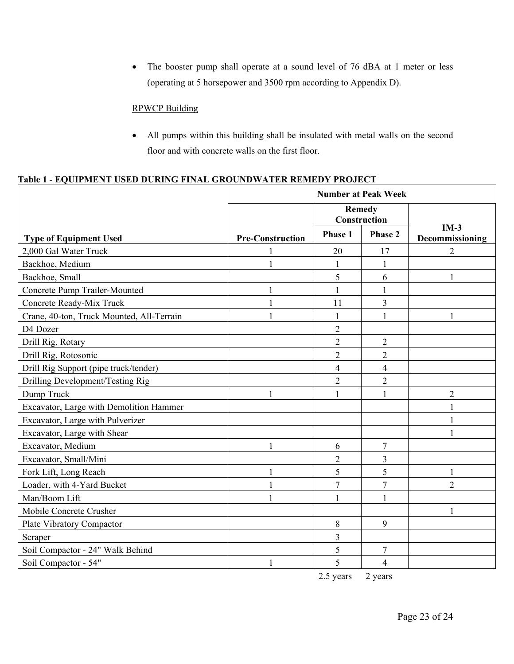The booster pump shall operate at a sound level of 76 dBA at 1 meter or less (operating at 5 horsepower and 3500 rpm according to Appendix D).

### RPWCP Building

 All pumps within this building shall be insulated with metal walls on the second floor and with concrete walls on the first floor.

## **Table 1 - EQUIPMENT USED DURING FINAL GROUNDWATER REMEDY PROJECT**

|                                           | <b>Number at Peak Week</b> |                               |                |                           |
|-------------------------------------------|----------------------------|-------------------------------|----------------|---------------------------|
|                                           |                            | <b>Remedy</b><br>Construction |                |                           |
| <b>Type of Equipment Used</b>             | <b>Pre-Construction</b>    | <b>Phase 1</b>                | Phase 2        | $IM-3$<br>Decommissioning |
| 2,000 Gal Water Truck                     |                            | 20                            | 17             | 2                         |
| Backhoe, Medium                           |                            | 1                             | 1              |                           |
| Backhoe, Small                            |                            | 5                             | 6              | 1                         |
| Concrete Pump Trailer-Mounted             |                            | 1                             | 1              |                           |
| Concrete Ready-Mix Truck                  | 1                          | 11                            | 3              |                           |
| Crane, 40-ton, Truck Mounted, All-Terrain |                            |                               |                |                           |
| D4 Dozer                                  |                            | $\overline{2}$                |                |                           |
| Drill Rig, Rotary                         |                            | $\overline{2}$                | $\overline{2}$ |                           |
| Drill Rig, Rotosonic                      |                            | $\overline{2}$                | $\overline{2}$ |                           |
| Drill Rig Support (pipe truck/tender)     |                            | $\overline{4}$                | $\overline{4}$ |                           |
| Drilling Development/Testing Rig          |                            | $\overline{2}$                | $\overline{2}$ |                           |
| Dump Truck                                |                            |                               | 1              | $\overline{2}$            |
| Excavator, Large with Demolition Hammer   |                            |                               |                | $\mathbf{1}$              |
| Excavator, Large with Pulverizer          |                            |                               |                |                           |
| Excavator, Large with Shear               |                            |                               |                | 1                         |
| Excavator, Medium                         | 1                          | 6                             | $\tau$         |                           |
| Excavator, Small/Mini                     |                            | $\overline{c}$                | 3              |                           |
| Fork Lift, Long Reach                     |                            | 5                             | 5              | 1                         |
| Loader, with 4-Yard Bucket                |                            | $\overline{7}$                | $\overline{7}$ | $\overline{2}$            |
| Man/Boom Lift                             |                            | $\mathbf{1}$                  | 1              |                           |
| Mobile Concrete Crusher                   |                            |                               |                |                           |
| Plate Vibratory Compactor                 |                            | 8                             | 9              |                           |
| Scraper                                   |                            | 3                             |                |                           |
| Soil Compactor - 24" Walk Behind          |                            | 5                             | 7              |                           |
| Soil Compactor - 54"                      |                            | 5                             | 4              |                           |

2.5 years 2 years